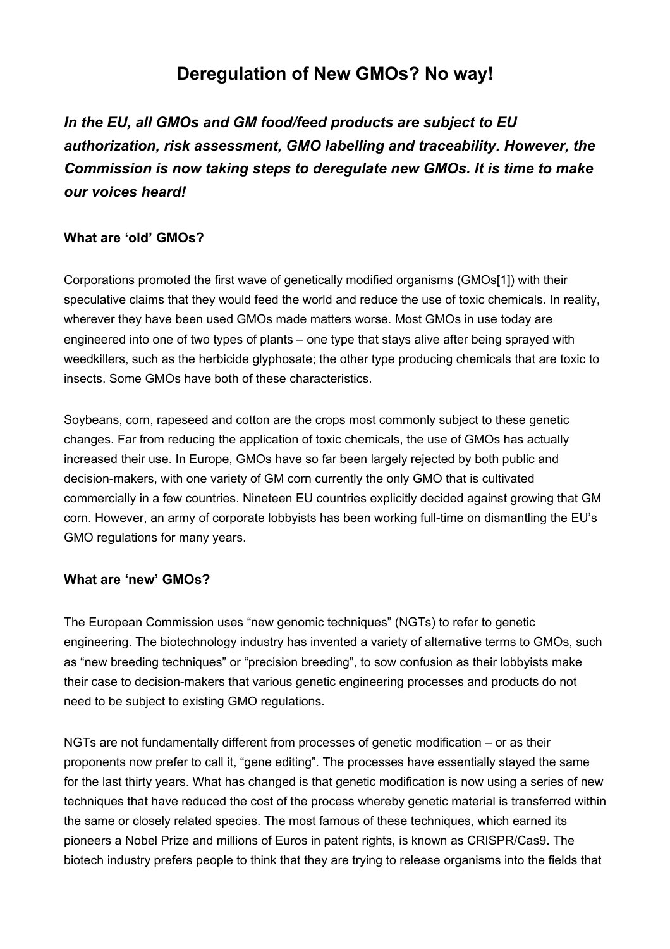# **Deregulation of New GMOs? No way!**

*In the EU, all GMOs and GM food/feed products are subject to EU authorization, risk assessment, GMO labelling and traceability. However, the Commission is now taking steps to deregulate new GMOs. It is time to make our voices heard!*

# **What are 'old' GMOs?**

Corporations promoted the first wave of genetically modified organisms (GMOs[1]) with their speculative claims that they would feed the world and reduce the use of toxic chemicals. In reality, wherever they have been used GMOs made matters worse. Most GMOs in use today are engineered into one of two types of plants – one type that stays alive after being sprayed with weedkillers, such as the herbicide glyphosate; the other type producing chemicals that are toxic to insects. Some GMOs have both of these characteristics.

Soybeans, corn, rapeseed and cotton are the crops most commonly subject to these genetic changes. Far from reducing the application of toxic chemicals, the use of GMOs has actually increased their use. In Europe, GMOs have so far been largely rejected by both public and decision-makers, with one variety of GM corn currently the only GMO that is cultivated commercially in a few countries. Nineteen EU countries explicitly decided against growing that GM corn. However, an army of corporate lobbyists has been working full-time on dismantling the EU's GMO regulations for many years.

# **What are 'new' GMOs?**

The European Commission uses "new genomic techniques" (NGTs) to refer to genetic engineering. The biotechnology industry has invented a variety of alternative terms to GMOs, such as "new breeding techniques" or "precision breeding", to sow confusion as their lobbyists make their case to decision-makers that various genetic engineering processes and products do not need to be subject to existing GMO regulations.

NGTs are not fundamentally different from processes of genetic modification – or as their proponents now prefer to call it, "gene editing". The processes have essentially stayed the same for the last thirty years. What has changed is that genetic modification is now using a series of new techniques that have reduced the cost of the process whereby genetic material is transferred within the same or closely related species. The most famous of these techniques, which earned its pioneers a Nobel Prize and millions of Euros in patent rights, is known as CRISPR/Cas9. The biotech industry prefers people to think that they are trying to release organisms into the fields that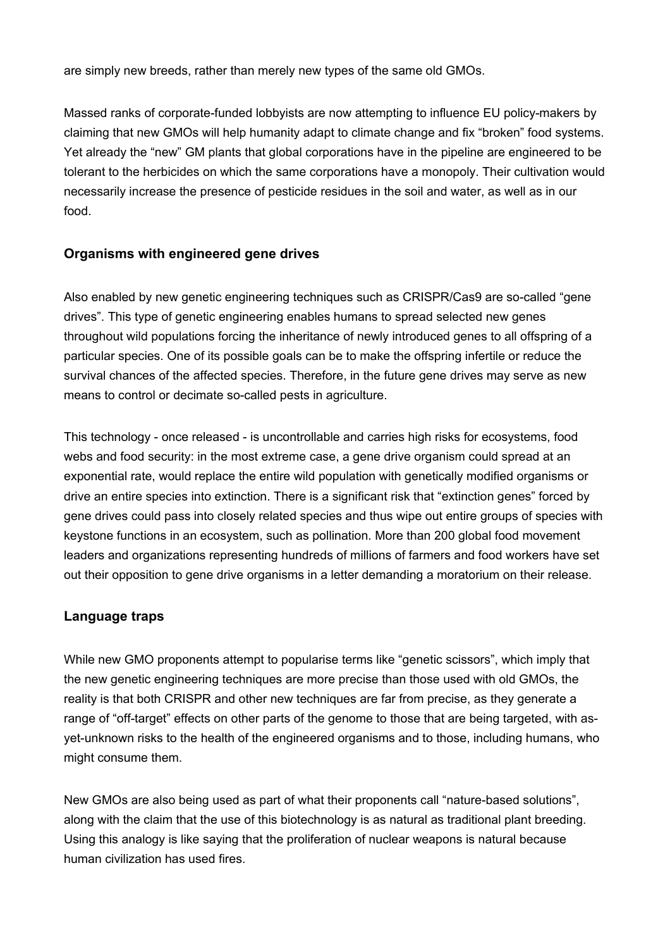are simply new breeds, rather than merely new types of the same old GMOs.

Massed ranks of corporate-funded lobbyists are now attempting to influence EU policy-makers by claiming that new GMOs will help humanity adapt to climate change and fix "broken" food systems. Yet already the "new" GM plants that global corporations have in the pipeline are engineered to be tolerant to the herbicides on which the same corporations have a monopoly. Their cultivation would necessarily increase the presence of pesticide residues in the soil and water, as well as in our food.

## **Organisms with engineered gene drives**

Also enabled by new genetic engineering techniques such as CRISPR/Cas9 are so-called "gene drives". This type of genetic engineering enables humans to spread selected new genes throughout wild populations forcing the inheritance of newly introduced genes to all offspring of a particular species. One of its possible goals can be to make the offspring infertile or reduce the survival chances of the affected species. Therefore, in the future gene drives may serve as new means to control or decimate so-called pests in agriculture.

This technology - once released - is uncontrollable and carries high risks for ecosystems, food webs and food security: in the most extreme case, a gene drive organism could spread at an exponential rate, would replace the entire wild population with genetically modified organisms or drive an entire species into extinction. There is a significant risk that "extinction genes" forced by gene drives could pass into closely related species and thus wipe out entire groups of species with keystone functions in an ecosystem, such as pollination. More than 200 global food movement leaders and organizations representing hundreds of millions of farmers and food workers have set out their opposition to gene drive organisms in a letter demanding a moratorium on their release.

#### **Language traps**

While new GMO proponents attempt to popularise terms like "genetic scissors", which imply that the new genetic engineering techniques are more precise than those used with old GMOs, the reality is that both CRISPR and other new techniques are far from precise, as they generate a range of "off-target" effects on other parts of the genome to those that are being targeted, with asyet-unknown risks to the health of the engineered organisms and to those, including humans, who might consume them.

New GMOs are also being used as part of what their proponents call "nature-based solutions", along with the claim that the use of this biotechnology is as natural as traditional plant breeding. Using this analogy is like saying that the proliferation of nuclear weapons is natural because human civilization has used fires.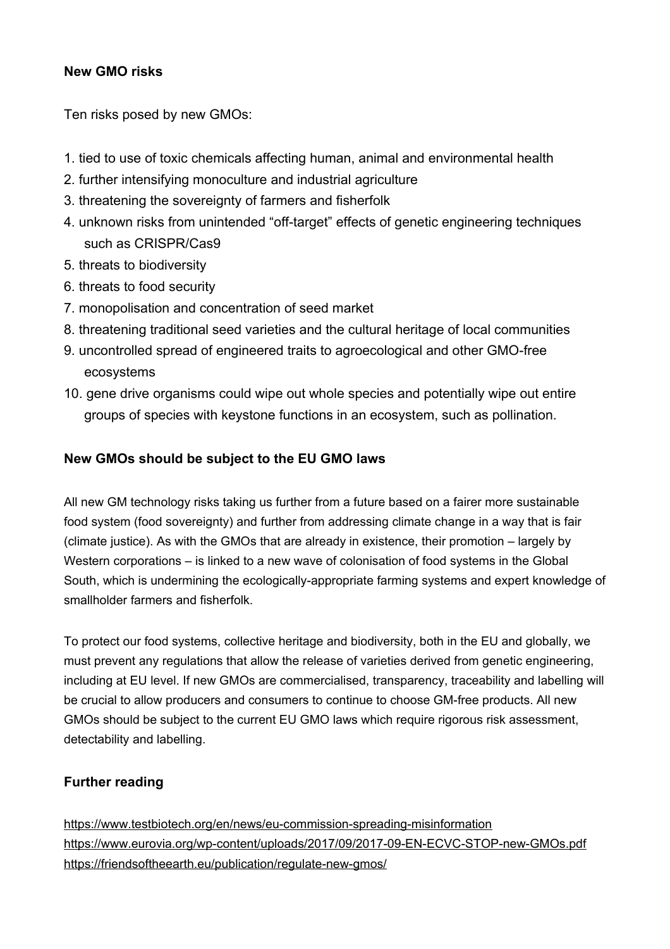## **New GMO risks**

Ten risks posed by new GMOs:

- 1. tied to use of toxic chemicals affecting human, animal and environmental health
- 2. further intensifying monoculture and industrial agriculture
- 3. threatening the sovereignty of farmers and fisherfolk
- 4. unknown risks from unintended "off-target" effects of genetic engineering techniques such as CRISPR/Cas9
- 5. threats to biodiversity
- 6. threats to food security
- 7. monopolisation and concentration of seed market
- 8. threatening traditional seed varieties and the cultural heritage of local communities
- 9. uncontrolled spread of engineered traits to agroecological and other GMO-free ecosystems
- 10. gene drive organisms could wipe out whole species and potentially wipe out entire groups of species with keystone functions in an ecosystem, such as pollination.

## **New GMOs should be subject to the EU GMO laws**

All new GM technology risks taking us further from a future based on a fairer more sustainable food system (food sovereignty) and further from addressing climate change in a way that is fair (climate justice). As with the GMOs that are already in existence, their promotion – largely by Western corporations – is linked to a new wave of colonisation of food systems in the Global South, which is undermining the ecologically-appropriate farming systems and expert knowledge of smallholder farmers and fisherfolk.

To protect our food systems, collective heritage and biodiversity, both in the EU and globally, we must prevent any regulations that allow the release of varieties derived from genetic engineering, including at EU level. If new GMOs are commercialised, transparency, traceability and labelling will be crucial to allow producers and consumers to continue to choose GM-free products. All new GMOs should be subject to the current EU GMO laws which require rigorous risk assessment, detectability and labelling.

# **Further reading**

<https://www.testbiotech.org/en/news/eu-commission-spreading-misinformation> <https://www.eurovia.org/wp-content/uploads/2017/09/2017-09-EN-ECVC-STOP-new-GMOs.pdf> <https://friendsoftheearth.eu/publication/regulate-new-gmos/>